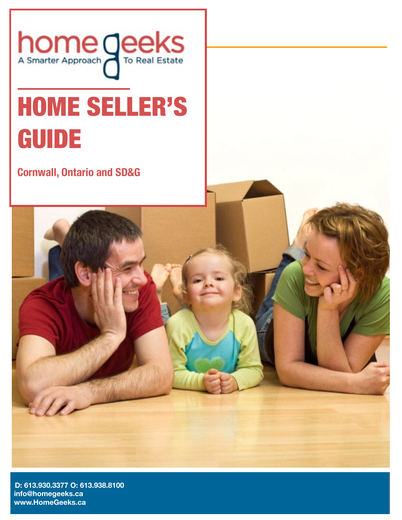

# HOME SELLER'S GUIDE

**Cornwall, Ontario and SD&G**



**[INSERT YOUR EMAIL ADDRESS] info@homegeeks.ca [INSERT WEBSITE ADDRESS] [www.HomeGeeks.ca](http://www.HomeGeeks.ca) D: 613.930.3377 O: 613.938.8100**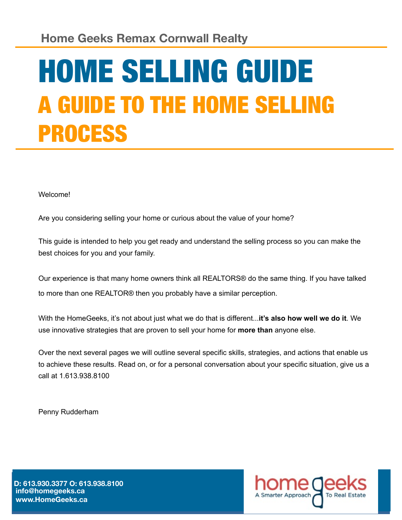## HOME SELLING GUIDE A GUIDE TO THE HOME SELLING PROCESS

Welcome!

Are you considering selling your home or curious about the value of your home?

This guide is intended to help you get ready and understand the selling process so you can make the best choices for you and your family.

Our experience is that many home owners think all REALTORS® do the same thing. If you have talked to more than one REALTOR® then you probably have a similar perception.

With the HomeGeeks, it's not about just what we do that is different...**it's also how well we do it**. We use innovative strategies that are proven to sell your home for **more than** anyone else.

Over the next several pages we will outline several specific skills, strategies, and actions that enable us to achieve these results. Read on, or for a personal conversation about your specific situation, give us a call at 1.613.938.8100

Penny Rudderham

**[INSERT YOUR EMAIL ADDRESS] info@homegeeks.ca [INSERT WEBSITE ADDRESS] [www.HomeGeeks.ca](http://www.HomeGeeks.ca)D: 613.930.3377 O: 613.938.8100** 

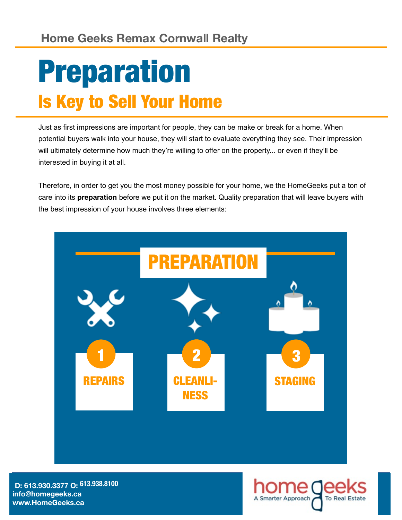#### **Home Geeks Remax Cornwall Realty**

## Preparation Is Key to Sell Your Home

Just as first impressions are important for people, they can be make or break for a home. When potential buyers walk into your house, they will start to evaluate everything they see. Their impression will ultimately determine how much they're willing to offer on the property... or even if they'll be interested in buying it at all.

Therefore, in order to get you the most money possible for your home, we the HomeGeeks put a ton of care into its **preparation** before we put it on the market. Quality preparation that will leave buyers with the best impression of your house involves three elements:



**[INSERT YOUR EMAIL ADDRESS] info@homegeeks.ca [INSERT WEBSITE ADDRESS] [www.HomeGeeks.ca](http://www.HomeGeeks.ca) D: 613.930.3377 O: 613.938.8100**

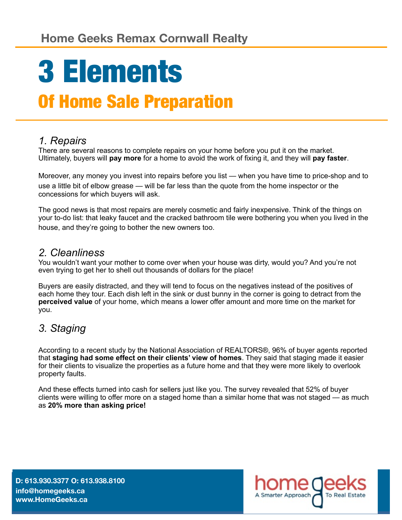# 3 Elements

### Of Home Sale Preparation

#### *1. Repairs*

There are several reasons to complete repairs on your home before you put it on the market. Ultimately, buyers will **pay more** for a home to avoid the work of fixing it, and they will **pay faster**.

Moreover, any money you invest into repairs before you list — when you have time to price-shop and to use a little bit of elbow grease — will be far less than the quote from the home inspector or the concessions for which buyers will ask.

The good news is that most repairs are merely cosmetic and fairly inexpensive. Think of the things on your to-do list: that leaky faucet and the cracked bathroom tile were bothering you when you lived in the house, and they're going to bother the new owners too.

#### *2. Cleanliness*

You wouldn't want your mother to come over when your house was dirty, would you? And you're not even trying to get her to shell out thousands of dollars for the place!

Buyers are easily distracted, and they will tend to focus on the negatives instead of the positives of each home they tour. Each dish left in the sink or dust bunny in the corner is going to detract from the **perceived value** of your home, which means a lower offer amount and more time on the market for you.

#### *3. Staging*

According to a recent study by the National Association of REALTORS®, 96% of buyer agents reported that **staging had some effect on their clients' view of homes**. They said that staging made it easier for their clients to visualize the properties as a future home and that they were more likely to overlook property faults.

And these effects turned into cash for sellers just like you. The survey revealed that 52% of buyer clients were willing to offer more on a staged home than a similar home that was not staged — as much as **20% more than asking price!**

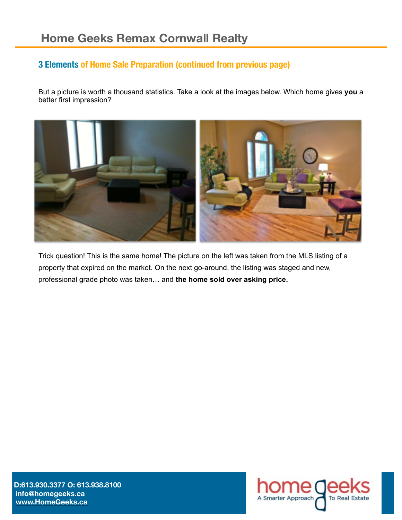#### **3 Elements of Home Sale Preparation (continued from previous page)**

But a picture is worth a thousand statistics. Take a look at the images below. Which home gives **you** a better first impression?



Trick question! This is the same home! The picture on the left was taken from the MLS listing of a property that expired on the market. On the next go-around, the listing was staged and new, professional grade photo was taken… and **the home sold over asking price.** 

**[INSERT YOUR EMAIL ADDRESS] info@homegeeks.ca [INSERT WEBSITE ADDRESS] [www.HomeGeeks.ca](http://www.HomeGeeks.ca)D:613.930.3377 O: 613.938.8100** 

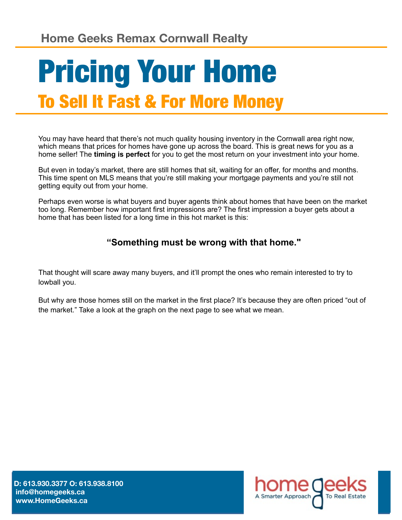### Pricing Your Home To Sell It Fast & For More Money

You may have heard that there's not much quality housing inventory in the Cornwall area right now, which means that prices for homes have gone up across the board. This is great news for you as a home seller! The **timing is perfect** for you to get the most return on your investment into your home.

But even in today's market, there are still homes that sit, waiting for an offer, for months and months. This time spent on MLS means that you're still making your mortgage payments and you're still not getting equity out from your home.

Perhaps even worse is what buyers and buyer agents think about homes that have been on the market too long. Remember how important first impressions are? The first impression a buyer gets about a home that has been listed for a long time in this hot market is this:

#### **"Something must be wrong with that home."**

That thought will scare away many buyers, and it'll prompt the ones who remain interested to try to lowball you.

But why are those homes still on the market in the first place? It's because they are often priced "out of the market." Take a look at the graph on the next page to see what we mean.

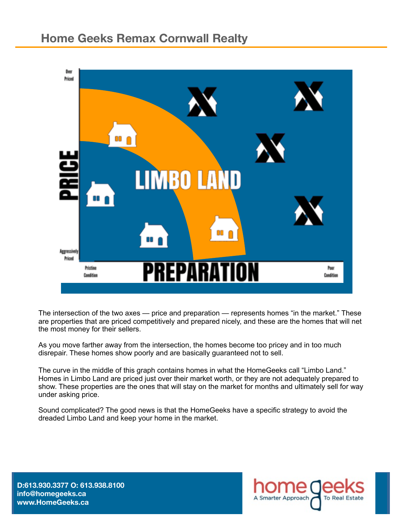

The intersection of the two axes — price and preparation — represents homes "in the market." These are properties that are priced competitively and prepared nicely, and these are the homes that will net the most money for their sellers.

As you move farther away from the intersection, the homes become too pricey and in too much disrepair. These homes show poorly and are basically guaranteed not to sell.

The curve in the middle of this graph contains homes in what the HomeGeeks call "Limbo Land." Homes in Limbo Land are priced just over their market worth, or they are not adequately prepared to show. These properties are the ones that will stay on the market for months and ultimately sell for way under asking price.

Sound complicated? The good news is that the HomeGeeks have a specific strategy to avoid the dreaded Limbo Land and keep your home in the market.

**[ D:613.930.3377 O: 613.938.8100 [INSERT YOUR EMAIL ADDRESS] info@homegeeks.ca**  [www.HomeGeeks.ca](http://www.HomeGeeks.ca)

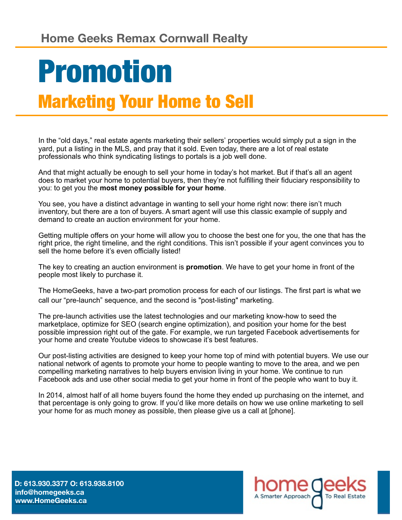### Promotion Marketing Your Home to Sell

In the "old days," real estate agents marketing their sellers' properties would simply put a sign in the yard, put a listing in the MLS, and pray that it sold. Even today, there are a lot of real estate professionals who think syndicating listings to portals is a job well done.

And that might actually be enough to sell your home in today's hot market. But if that's all an agent does to market your home to potential buyers, then they're not fulfilling their fiduciary responsibility to you: to get you the **most money possible for your home**.

You see, you have a distinct advantage in wanting to sell your home right now: there isn't much inventory, but there are a ton of buyers. A smart agent will use this classic example of supply and demand to create an auction environment for your home.

Getting multiple offers on your home will allow you to choose the best one for you, the one that has the right price, the right timeline, and the right conditions. This isn't possible if your agent convinces you to sell the home before it's even officially listed!

The key to creating an auction environment is **promotion**. We have to get your home in front of the people most likely to purchase it.

The HomeGeeks, have a two-part promotion process for each of our listings. The first part is what we call our "pre-launch" sequence, and the second is "post-listing" marketing.

The pre-launch activities use the latest technologies and our marketing know-how to seed the marketplace, optimize for SEO (search engine optimization), and position your home for the best possible impression right out of the gate. For example, we run targeted Facebook advertisements for your home and create Youtube videos to showcase it's best features.

Our post-listing activities are designed to keep your home top of mind with potential buyers. We use our national network of agents to promote your home to people wanting to move to the area, and we pen compelling marketing narratives to help buyers envision living in your home. We continue to run Facebook ads and use other social media to get your home in front of the people who want to buy it.

In 2014, almost half of all home buyers found the home they ended up purchasing on the internet, and that percentage is only going to grow. If you'd like more details on how we use online marketing to sell your home for as much money as possible, then please give us a call at [phone].